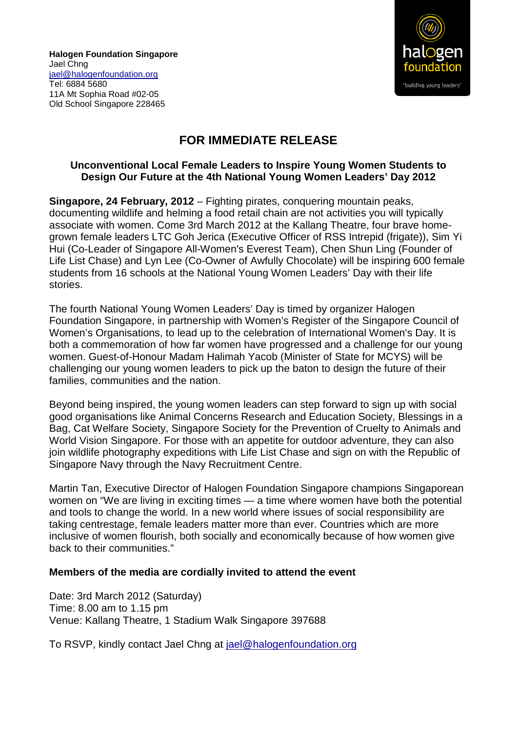

# **FOR IMMEDIATE RELEASE**

# **Unconventional Local Female Leaders to Inspire Young Women Students to Design Our Future at the 4th National Young Women Leaders' Day 2012**

**Singapore, 24 February, 2012** – Fighting pirates, conquering mountain peaks, documenting wildlife and helming a food retail chain are not activities you will typically associate with women. Come 3rd March 2012 at the Kallang Theatre, four brave homegrown female leaders LTC Goh Jerica (Executive Officer of RSS Intrepid (frigate)), Sim Yi Hui (Co-Leader of Singapore All-Women's Everest Team), Chen Shun Ling (Founder of Life List Chase) and Lyn Lee (Co-Owner of Awfully Chocolate) will be inspiring 600 female students from 16 schools at the National Young Women Leaders' Day with their life stories.

The fourth National Young Women Leaders' Day is timed by organizer Halogen Foundation Singapore, in partnership with Women's Register of the Singapore Council of Women's Organisations, to lead up to the celebration of International Women's Day. It is both a commemoration of how far women have progressed and a challenge for our young women. Guest-of-Honour Madam Halimah Yacob (Minister of State for MCYS) will be challenging our young women leaders to pick up the baton to design the future of their families, communities and the nation.

Beyond being inspired, the young women leaders can step forward to sign up with social good organisations like Animal Concerns Research and Education Society, Blessings in a Bag, Cat Welfare Society, Singapore Society for the Prevention of Cruelty to Animals and World Vision Singapore. For those with an appetite for outdoor adventure, they can also join wildlife photography expeditions with Life List Chase and sign on with the Republic of Singapore Navy through the Navy Recruitment Centre.

Martin Tan, Executive Director of Halogen Foundation Singapore champions Singaporean women on "We are living in exciting times — a time where women have both the potential and tools to change the world. In a new world where issues of social responsibility are taking centrestage, female leaders matter more than ever. Countries which are more inclusive of women flourish, both socially and economically because of how women give back to their communities."

# **Members of the media are cordially invited to attend the event**

Date: 3rd March 2012 (Saturday) Time: 8.00 am to 1.15 pm Venue: Kallang Theatre, 1 Stadium Walk Singapore 397688

To RSVP, kindly contact Jael Chng at [jael@halogenfoundation.org](mailto:jael@halogenfoundation.org)